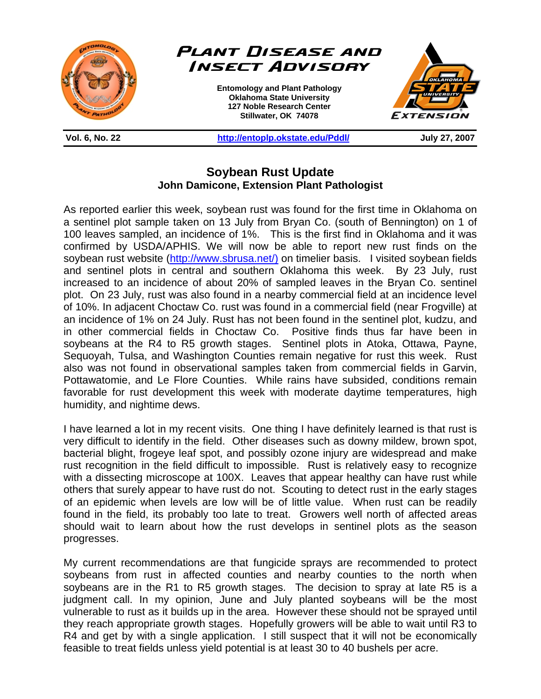

**Vol. 6, No. 22 http://entoplp.okstate.edu/Pddl/ July 27, 2007** 

## **Soybean Rust Update John Damicone, Extension Plant Pathologist**

As reported earlier this week, soybean rust was found for the first time in Oklahoma on a sentinel plot sample taken on 13 July from Bryan Co. (south of Bennington) on 1 of 100 leaves sampled, an incidence of 1%. This is the first find in Oklahoma and it was confirmed by USDA/APHIS. We will now be able to report new rust finds on the soybean rust website (http://www.sbrusa.net/) on timelier basis. I visited soybean fields and sentinel plots in central and southern Oklahoma this week. By 23 July, rust increased to an incidence of about 20% of sampled leaves in the Bryan Co. sentinel plot. On 23 July, rust was also found in a nearby commercial field at an incidence level of 10%. In adjacent Choctaw Co. rust was found in a commercial field (near Frogville) at an incidence of 1% on 24 July. Rust has not been found in the sentinel plot, kudzu, and in other commercial fields in Choctaw Co. Positive finds thus far have been in soybeans at the R4 to R5 growth stages. Sentinel plots in Atoka, Ottawa, Payne, Sequoyah, Tulsa, and Washington Counties remain negative for rust this week. Rust also was not found in observational samples taken from commercial fields in Garvin, Pottawatomie, and Le Flore Counties. While rains have subsided, conditions remain favorable for rust development this week with moderate daytime temperatures, high humidity, and nightime dews.

I have learned a lot in my recent visits. One thing I have definitely learned is that rust is very difficult to identify in the field. Other diseases such as downy mildew, brown spot, bacterial blight, frogeye leaf spot, and possibly ozone injury are widespread and make rust recognition in the field difficult to impossible. Rust is relatively easy to recognize with a dissecting microscope at 100X. Leaves that appear healthy can have rust while others that surely appear to have rust do not. Scouting to detect rust in the early stages of an epidemic when levels are low will be of little value. When rust can be readily found in the field, its probably too late to treat. Growers well north of affected areas should wait to learn about how the rust develops in sentinel plots as the season progresses.

My current recommendations are that fungicide sprays are recommended to protect soybeans from rust in affected counties and nearby counties to the north when soybeans are in the R1 to R5 growth stages. The decision to spray at late R5 is a judgment call. In my opinion, June and July planted soybeans will be the most vulnerable to rust as it builds up in the area. However these should not be sprayed until they reach appropriate growth stages. Hopefully growers will be able to wait until R3 to R4 and get by with a single application. I still suspect that it will not be economically feasible to treat fields unless yield potential is at least 30 to 40 bushels per acre.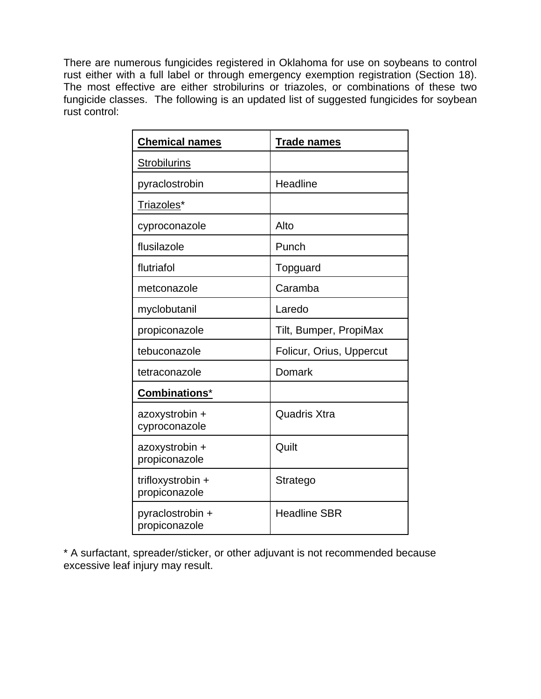There are numerous fungicides registered in Oklahoma for use on soybeans to control rust either with a full label or through emergency exemption registration (Section 18). The most effective are either strobilurins or triazoles, or combinations of these two fungicide classes. The following is an updated list of suggested fungicides for soybean rust control:

| <b>Chemical names</b>              | <b>Trade names</b>       |
|------------------------------------|--------------------------|
| <b>Strobilurins</b>                |                          |
| pyraclostrobin                     | Headline                 |
| Triazoles*                         |                          |
| cyproconazole                      | Alto                     |
| flusilazole                        | Punch                    |
| flutriafol                         | Topguard                 |
| metconazole                        | Caramba                  |
| myclobutanil                       | Laredo                   |
| propiconazole                      | Tilt, Bumper, PropiMax   |
| tebuconazole                       | Folicur, Orius, Uppercut |
| tetraconazole                      | Domark                   |
| Combinations*                      |                          |
| azoxystrobin +<br>cyproconazole    | <b>Quadris Xtra</b>      |
| azoxystrobin +<br>propiconazole    | Quilt                    |
| trifloxystrobin +<br>propiconazole | Stratego                 |
| pyraclostrobin +<br>propiconazole  | <b>Headline SBR</b>      |

\* A surfactant, spreader/sticker, or other adjuvant is not recommended because excessive leaf injury may result.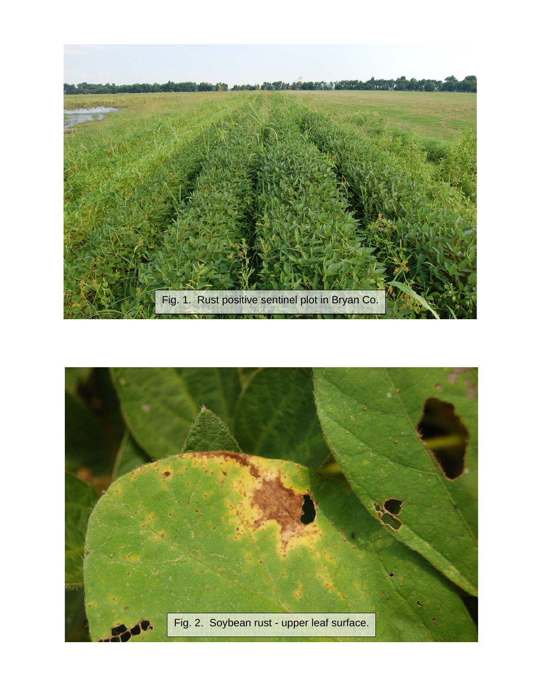